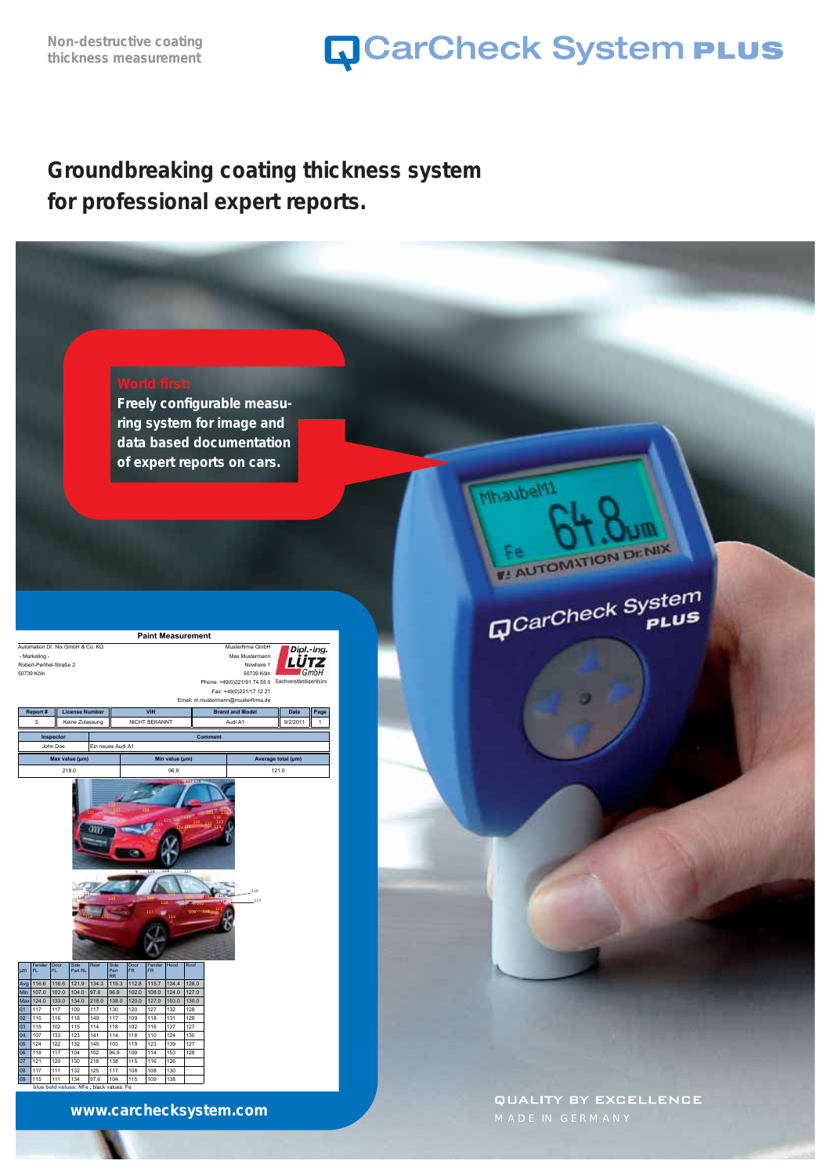Mhaubeh

FR AUTOMATION DENIX

GCarCheck System

### **Groundbreaking coating thickness system for professional expert reports.**

**Freely configurable measuring system for image and data based documentation of expert reports on cars.**



**www.carchecksystem.com**

**QUALITY BY EXCELLENCE** MADE IN GERMANY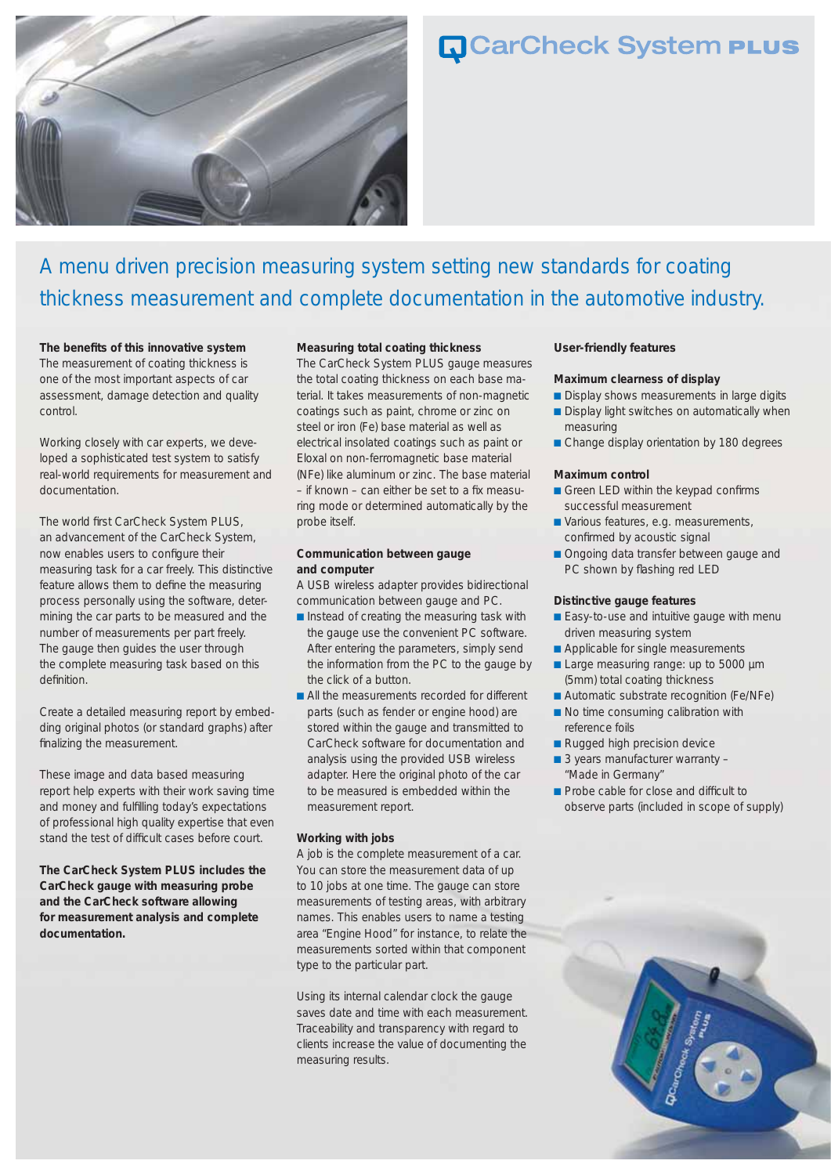

### A menu driven precision measuring system setting new standards for coating thickness measurement and complete documentation in the automotive industry.

The benefits of this innovative system The measurement of coating thickness is one of the most important aspects of car assessment, damage detection and quality control.

Working closely with car experts, we developed a sophisticated test system to satisfy real-world requirements for measurement and documentation.

The world first CarCheck System PLUS, an advancement of the CarCheck System, now enables users to configure their measuring task for a car freely. This distinctive feature allows them to define the measuring process personally using the software, determining the car parts to be measured and the number of measurements per part freely. The gauge then guides the user through the complete measuring task based on this definition.

Create a detailed measuring report by embedding original photos (or standard graphs) after finalizing the measurement.

These image and data based measuring report help experts with their work saving time and money and fulfilling today's expectations of professional high quality expertise that even stand the test of difficult cases before court.

**The CarCheck System PLUS includes the CarCheck gauge with measuring probe and the CarCheck software allowing for measurement analysis and complete documentation.**

#### **Measuring total coating thickness**

The CarCheck System PLUS gauge measures the total coating thickness on each base material. It takes measurements of non-magnetic coatings such as paint, chrome or zinc on steel or iron (Fe) base material as well as electrical insolated coatings such as paint or Eloxal on non-ferromagnetic base material (NFe) like aluminum or zinc. The base material  $-$  if known  $-$  can either be set to a fix measuring mode or determined automatically by the probe itself.

#### **Communication between gauge and computer**

A USB wireless adapter provides bidirectional communication between gauge and PC.

- Instead of creating the measuring task with the gauge use the convenient PC software. After entering the parameters, simply send the information from the PC to the gauge by the click of a button.
- All the measurements recorded for different parts (such as fender or engine hood) are stored within the gauge and transmitted to CarCheck software for documentation and analysis using the provided USB wireless adapter. Here the original photo of the car to be measured is embedded within the measurement report.

#### **Working with jobs**

A job is the complete measurement of a car. You can store the measurement data of up to 10 jobs at one time. The gauge can store measurements of testing areas, with arbitrary names. This enables users to name a testing area "Engine Hood" for instance, to relate the measurements sorted within that component type to the particular part.

Using its internal calendar clock the gauge saves date and time with each measurement. Traceability and transparency with regard to clients increase the value of documenting the measuring results.

#### **User-friendly features**

#### **Maximum clearness of display**

- Display shows measurements in large digits
- Display light switches on automatically when measuring
- Change display orientation by 180 degrees

#### **Maximum control**

- Green LED within the keypad confirms successful measurement
- Various features, e.g. measurements, confirmed by acoustic signal
- Ongoing data transfer between gauge and PC shown by flashing red LED

#### **Distinctive gauge features**

- Easy-to-use and intuitive gauge with menu driven measuring system
- Applicable for single measurements
- Large measuring range: up to 5000 µm (5mm) total coating thickness
- Automatic substrate recognition (Fe/NFe)
- No time consuming calibration with reference foils
- Rugged high precision device
- 3 years manufacturer warranty "Made in Germany"
- Probe cable for close and difficult to observe parts (included in scope of supply)

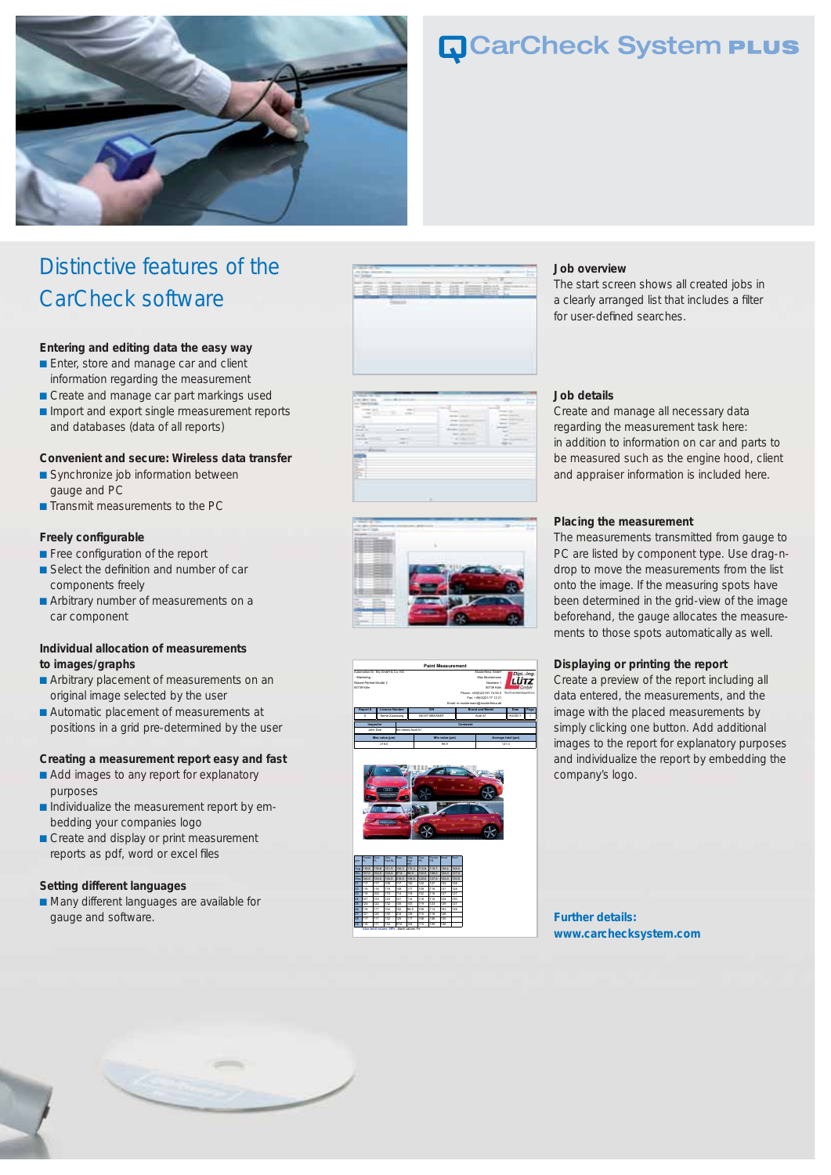

## Distinctive features of the CarCheck software

#### **Entering and editing data the easy way**

- Enter, store and manage car and client information regarding the measurement
- Create and manage car part markings used
- Import and export single rmeasurement reports and databases (data of all reports)

#### **Convenient and secure: Wireless data transfer**

- Synchronize job information between gauge and PC
- Transmit measurements to the PC

#### **Freely configurable**

- Free configuration of the report
- Select the definition and number of car components freely
- Arbitrary number of measurements on a car component

#### **Individual allocation of measurements to images/graphs**

- Arbitrary placement of measurements on an original image selected by the user
- Automatic placement of measurements at positions in a grid pre-determined by the user

#### **Creating a measurement report easy and fast**

- Add images to any report for explanatory purposes
- Individualize the measurement report by embedding your companies logo
- Create and display or print measurement reports as pdf, word or excel files

#### **Setting different languages**

■ Many different languages are available for gauge and software.













#### **Job overview**

The start screen shows all created jobs in a clearly arranged list that includes a filter for user-defined searches.

#### **Job details**

Create and manage all necessary data regarding the measurement task here: in addition to information on car and parts to be measured such as the engine hood, client and appraiser information is included here.

#### **Placing the measurement**

The measurements transmitted from gauge to PC are listed by component type. Use drag-ndrop to move the measurements from the list onto the image. If the measuring spots have been determined in the grid-view of the image beforehand, the gauge allocates the measurements to those spots automatically as well.

#### **Displaying or printing the report**

Create a preview of the report including all data entered, the measurements, and the image with the placed measurements by simply clicking one button. Add additional images to the report for explanatory purposes and individualize the report by embedding the company's logo.

**Further details: www.carchecksystem.com**